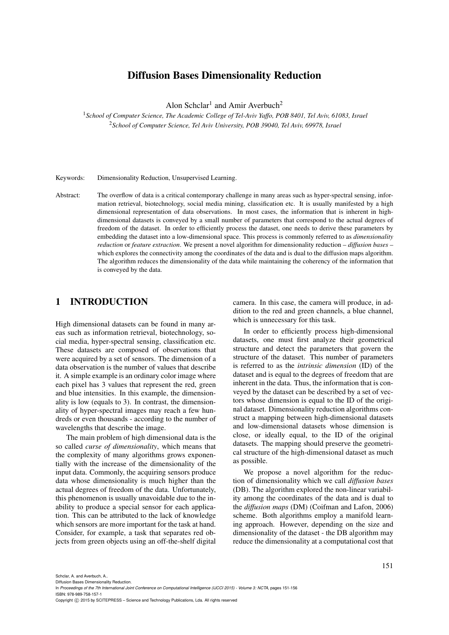# Diffusion Bases Dimensionality Reduction

Alon Schclar<sup>1</sup> and Amir Averbuch<sup>2</sup>

<sup>1</sup>*School of Computer Science, The Academic College of Tel-Aviv Yaffo, POB 8401, Tel Aviv, 61083, Israel* <sup>2</sup>*School of Computer Science, Tel Aviv University, POB 39040, Tel Aviv, 69978, Israel*

Keywords: Dimensionality Reduction, Unsupervised Learning.

Abstract: The overflow of data is a critical contemporary challenge in many areas such as hyper-spectral sensing, information retrieval, biotechnology, social media mining, classification etc. It is usually manifested by a high dimensional representation of data observations. In most cases, the information that is inherent in highdimensional datasets is conveyed by a small number of parameters that correspond to the actual degrees of freedom of the dataset. In order to efficiently process the dataset, one needs to derive these parameters by embedding the dataset into a low-dimensional space. This process is commonly referred to as *dimensionality reduction* or *feature extraction*. We present a novel algorithm for dimensionality reduction – *diffusion bases* – which explores the connectivity among the coordinates of the data and is dual to the diffusion maps algorithm. The algorithm reduces the dimensionality of the data while maintaining the coherency of the information that is conveyed by the data.

# 1 INTRODUCTION

High dimensional datasets can be found in many areas such as information retrieval, biotechnology, social media, hyper-spectral sensing, classification etc. These datasets are composed of observations that were acquired by a set of sensors. The dimension of a data observation is the number of values that describe it. A simple example is an ordinary color image where each pixel has 3 values that represent the red, green and blue intensities. In this example, the dimensionality is low (equals to 3). In contrast, the dimensionality of hyper-spectral images may reach a few hundreds or even thousands - according to the number of wavelengths that describe the image.

The main problem of high dimensional data is the so called *curse of dimensionality*, which means that the complexity of many algorithms grows exponentially with the increase of the dimensionality of the input data. Commonly, the acquiring sensors produce data whose dimensionality is much higher than the actual degrees of freedom of the data. Unfortunately, this phenomenon is usually unavoidable due to the inability to produce a special sensor for each application. This can be attributed to the lack of knowledge which sensors are more important for the task at hand. Consider, for example, a task that separates red objects from green objects using an off-the-shelf digital

camera. In this case, the camera will produce, in addition to the red and green channels, a blue channel, which is unnecessary for this task.

In order to efficiently process high-dimensional datasets, one must first analyze their geometrical structure and detect the parameters that govern the structure of the dataset. This number of parameters is referred to as the *intrinsic dimension* (ID) of the dataset and is equal to the degrees of freedom that are inherent in the data. Thus, the information that is conveyed by the dataset can be described by a set of vectors whose dimension is equal to the ID of the original dataset. Dimensionality reduction algorithms construct a mapping between high-dimensional datasets and low-dimensional datasets whose dimension is close, or ideally equal, to the ID of the original datasets. The mapping should preserve the geometrical structure of the high-dimensional dataset as much as possible.

We propose a novel algorithm for the reduction of dimensionality which we call *diffusion bases* (DB). The algorithm explored the non-linear variability among the coordinates of the data and is dual to the *diffusion maps* (DM) (Coifman and Lafon, 2006) scheme. Both algorithms employ a manifold learning approach. However, depending on the size and dimensionality of the dataset - the DB algorithm may reduce the dimensionality at a computational cost that

In *Proceedings of the 7th International Joint Conference on Computational Intelligence (IJCCI 2015) - Volume 3: NCTA*, pages 151-156

ISBN: 978-989-758-157-1

Copyright C 2015 by SCITEPRESS - Science and Technology Publications, Lda. All rights reserved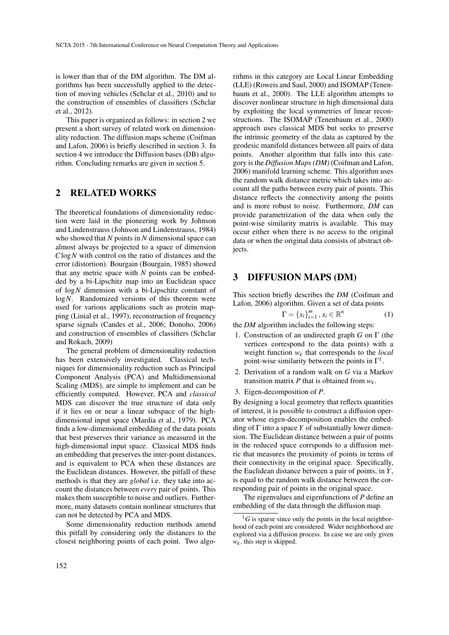is lower than that of the DM algorithm. The DM algorithms has been successfully applied to the detection of moving vehicles (Schclar et al., 2010) and to the construction of ensembles of classifiers (Schclar et al., 2012).

This paper is organized as follows: in section 2 we present a short survey of related work on dimensionality reduction. The diffusion maps scheme (Coifman and Lafon, 2006) is briefly described in section 3. In section 4 we introduce the Diffusion bases (DB) algorithm. Concluding remarks are given in section 5.

### 2 RELATED WORKS

The theoretical foundations of dimensionality reduction were laid in the pioneering work by Johnson and Lindenstrauss (Johnson and Lindenstrauss, 1984) who showed that *N* points in *N* dimensional space can almost always be projected to a space of dimension *C*log*N* with control on the ratio of distances and the error (distortion). Bourgain (Bourgain, 1985) showed that any metric space with *N* points can be embedded by a bi-Lipschitz map into an Euclidean space of log*N* dimension with a bi-Lipschitz constant of log*N*. Randomized versions of this theorem were used for various applications such as protein mapping (Linial et al., 1997), reconstruction of frequency sparse signals (Candes et al., 2006; Donoho, 2006) and construction of ensembles of classifiers (Schclar and Rokach, 2009)

The general problem of dimensionality reduction has been extensively investigated. Classical techniques for dimensionality reduction such as Principal Component Analysis (PCA) and Multidimensional Scaling (MDS), are simple to implement and can be efficiently computed. However, PCA and *classical* MDS can discover the true structure of data only if it lies on or near a linear subspace of the highdimensional input space (Mardia et al., 1979). PCA finds a low-dimensional embedding of the data points that best preserves their variance as measured in the high-dimensional input space. Classical MDS finds an embedding that preserves the inter-point distances, and is equivalent to PCA when these distances are the Euclidean distances. However, the pitfall of these methods is that they are *global* i.e. they take into account the distances between *every* pair of points. This makes them susceptible to noise and outliers. Furthermore, many datasets contain nonlinear structures that can not be detected by PCA and MDS.

Some dimensionality reduction methods amend this pitfall by considering only the distances to the closest neighboring points of each point. Two algorithms in this category are Local Linear Embedding (LLE) (Roweis and Saul, 2000) and ISOMAP (Tenenbaum et al., 2000). The LLE algorithm attempts to discover nonlinear structure in high dimensional data by exploiting the local symmetries of linear reconstructions. The ISOMAP (Tenenbaum et al., 2000) approach uses classical MDS but seeks to preserve the intrinsic geometry of the data as captured by the geodesic manifold distances between all pairs of data points. Another algorithm that falls into this category is the *Diffusion Maps (DM)* (Coifman and Lafon, 2006) manifold learning scheme. This algorithm uses the random walk distance metric which takes into account all the paths between every pair of points. This distance reflects the connectivity among the points and is more robust to noise. Furthermore, *DM* can provide parametrization of the data when only the point-wise similarity matrix is available. This may occur either when there is no access to the original data or when the original data consists of abstract objects.

### 3 DIFFUSION MAPS (DM)

This section briefly describes the *DM* (Coifman and Lafon, 2006) algorithm. Given a set of data points

$$
\Gamma = \{x_i\}_{i=1}^m, x_i \in \mathbb{R}^n \tag{1}
$$

the *DM* algorithm includes the following steps:

- 1. Construction of an undirected graph *G* on Γ (the vertices correspond to the data points) with a weight function *w*<sup>ε</sup> that corresponds to the *local* point-wise similarity between the points in  $\Gamma^1$ .
- 2. Derivation of a random walk on *G* via a Markov transition matrix *P* that is obtained from *w*ε.
- 3. Eigen-decomposition of *P*.

By designing a local geometry that reflects quantities of interest, it is possible to construct a diffusion operator whose eigen-decomposition enables the embedding of  $\Gamma$  into a space *Y* of substantially lower dimension. The Euclidean distance between a pair of points in the reduced space corrsponds to a diffusion metric that measures the proximity of points in terms of their connectivity in the original space. Specifically, the Euclidean distance between a pair of points, in *Y*, is equal to the random walk distance between the corresponding pair of points in the original space.

The eigenvalues and eigenfunctions of *P* define an embedding of the data through the diffusion map.

 ${}^{1}G$  is sparse since only the points in the local neighborhood of each point are considered. Wider neighborhood are explored via a diffusion process. In case we are only given *w*ε, this step is skipped.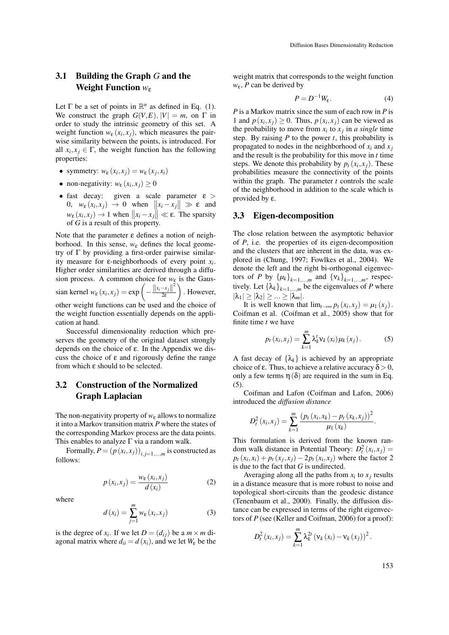## 3.1 Building the Graph *G* and the Weight Function *w*<sub>ε</sub>

Let  $\Gamma$  be a set of points in  $\mathbb{R}^n$  as defined in Eq. (1). We construct the graph  $G(V, E)$ ,  $|V| = m$ , on  $\Gamma$  in order to study the intrinsic geometry of this set. A weight function  $w_{\varepsilon}(x_i, x_j)$ , which measures the pairwise similarity between the points, is introduced. For all  $x_i, x_j \in \Gamma$ , the weight function has the following properties:

- symmetry:  $w_{\varepsilon}(x_i, x_j) = w_{\varepsilon}(x_j, x_i)$
- non-negativity:  $w_{\varepsilon}(x_i, x_j) \ge 0$
- fast decay: given a scale parameter  $\varepsilon$  > 0,  $w_{\varepsilon}(x_i, x_j) \rightarrow 0$  when  $||x_i - x_j|| \gg \varepsilon$  and  $w_{\varepsilon}(x_i, x_j) \to 1$  when  $||x_i - x_j|| \ll \varepsilon$ . The sparsity of *G* is a result of this property.

Note that the parameter  $ε$  defines a notion of neighborhood. In this sense,  $w_{\varepsilon}$  defines the local geometry of  $\Gamma$  by providing a first-order pairwise similarity measure for ε-neighborhoods of every point *x<sup>i</sup>* . Higher order similarities are derived through a diffusion process. A common choice for  $w_{\varepsilon}$  is the Gaussian kernel  $w_{\varepsilon}(x_i, x_j) = \exp \left(-\frac{\left||x_i - x_j|\right|^2}{2\varepsilon}\right)$ 2ε  $\setminus$ . However, other weight functions can be used and the choice of the weight function essentially depends on the application at hand.

Successful dimensionality reduction which preserves the geometry of the original dataset strongly depends on the choice of ε. In the Appendix we discuss the choice of  $\varepsilon$  and rigorously define the range from which ε should to be selected.

## 3.2 Construction of the Normalized Graph Laplacian

The non-negativity property of  $w_{\varepsilon}$  allows to normalize it into a Markov transition matrix *P* where the states of the corresponding Markov process are the data points. This enables to analyze  $\Gamma$  via a random walk.

Formally,  $P = (p(x_i, x_j))_{i,j=1,\dots,m}$  is constructed as follows:

$$
p(x_i, x_j) = \frac{w_{\varepsilon}(x_i, x_j)}{d(x_i)}
$$
 (2)

where

$$
d\left(x_i\right) = \sum_{j=1}^{m} w_{\varepsilon}\left(x_i, x_j\right) \tag{3}
$$

is the degree of  $x_i$ . If we let  $D = (d_{ij})$  be a  $m \times m$  diagonal matrix where  $d_{ii} = d(x_i)$ , and we let  $W_{\varepsilon}$  be the weight matrix that corresponds to the weight function *w*ε, *P* can be derived by

$$
P = D^{-1}W_{\varepsilon}.
$$
 (4)

*P* is a Markov matrix since the sum of each row in *P* is 1 and  $p(x_i, x_j) \ge 0$ . Thus,  $p(x_i, x_j)$  can be viewed as the probability to move from  $x_i$  to  $x_j$  in *a single* time step. By raising  $P$  to the power  $t$ , this probability is propagated to nodes in the neighborhood of  $x_i$  and  $x_j$ and the result is the probability for this move in *t* time steps. We denote this probability by  $p_t(x_i, x_j)$ . These probabilities measure the connectivity of the points within the graph. The parameter *t* controls the scale of the neighborhood in addition to the scale which is provided by ε.

#### 3.3 Eigen-decomposition

The close relation between the asymptotic behavior of *P*, i.e. the properties of its eigen-decomposition and the clusters that are inherent in the data, was explored in (Chung, 1997; Fowlkes et al., 2004). We denote the left and the right bi-orthogonal eigenvectors of *P* by  $\{\mu_k\}_{k=1,...,m}$  and  $\{v_k\}_{k=1,...,m}$ , respectively. Let  $\{\lambda_k\}_{k=1,\dots,m}$  be the eigenvalues of *P* where  $|\lambda_1| \geq |\lambda_2| \geq ... \geq |\lambda_m|.$ 

It is well known that  $\lim_{t\to\infty} p_t(x_i, x_j) = \mu_1(x_j)$ . Coifman et al. (Coifman et al., 2005) show that for finite time *t* we have

$$
p_t(x_i, x_j) = \sum_{k=1}^m \lambda_k^t v_k(x_i) \mu_k(x_j).
$$
 (5)

A fast decay of  $\{\lambda_k\}$  is achieved by an appropriate choice of ε. Thus, to achieve a relative accuracy  $δ > 0$ , only a few terms  $\eta(\delta)$  are required in the sum in Eq. (5).

Coifman and Lafon (Coifman and Lafon, 2006) introduced the *diffusion distance*

$$
D_t^2(x_i, x_j) = \sum_{k=1}^m \frac{(p_t(x_i, x_k) - p_t(x_k, x_j))^2}{\mu_1(x_k)}
$$

This formulation is derived from the known random walk distance in Potential Theory:  $D_t^2(x_i, x_j) =$  $p_t(x_i, x_i) + p_t(x_j, x_j) - 2p_t(x_i, x_j)$  where the factor 2 is due to the fact that *G* is undirected.

Averaging along all the paths from  $x_i$  to  $x_j$  results in a distance measure that is more robust to noise and topological short-circuits than the geodesic distance (Tenenbaum et al., 2000). Finally, the diffusion distance can be expressed in terms of the right eigenvectors of *P* (see (Keller and Coifman, 2006) for a proof):

$$
D_t^2(x_i, x_j) = \sum_{k=1}^m \lambda_k^{2t} (v_k(x_i) - v_k(x_j))^2.
$$

153

.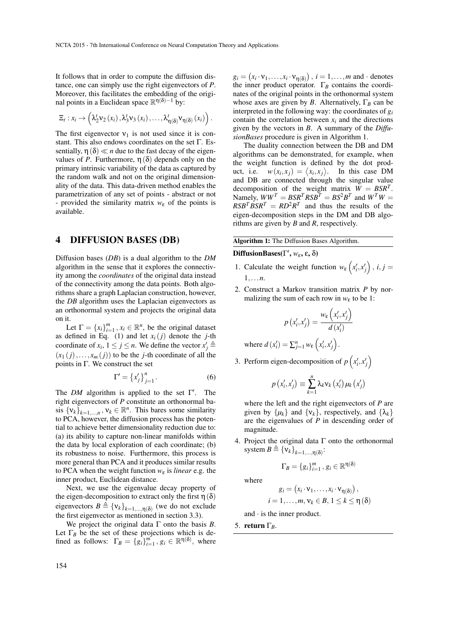It follows that in order to compute the diffusion distance, one can simply use the right eigenvectors of *P*. Moreover, this facilitates the embedding of the original points in a Euclidean space  $\mathbb{R}^{\eta(\delta)-1}$  by:

$$
\Xi_t: x_i \to \left(\lambda_2^t v_2\left(x_i\right), \lambda_3^t v_3\left(x_i\right), \ldots, \lambda_{\eta(\delta)}^t v_{\eta(\delta)}\left(x_i\right)\right).
$$

The first eigenvector  $v_1$  is not used since it is constant. This also endows coordinates on the set Γ. Essentially,  $\eta(\delta) \ll n$  due to the fast decay of the eigenvalues of *P*. Furthermore,  $\eta(\delta)$  depends only on the primary intrinsic variability of the data as captured by the random walk and not on the original dimensionality of the data. This data-driven method enables the parametrization of any set of points - abstract or not - provided the similarity matrix  $w_{\varepsilon}$  of the points is available.

### 4 DIFFUSION BASES (DB)

Diffusion bases (*DB*) is a dual algorithm to the *DM* algorithm in the sense that it explores the connectivity among the *coordinates* of the original data instead of the connectivity among the data points. Both algorithms share a graph Laplacian construction, however, the *DB* algorithm uses the Laplacian eigenvectors as an orthonormal system and projects the original data on it.

Let  $\Gamma = \{x_i\}_{i=1}^m$ ,  $x_i \in \mathbb{R}^n$ , be the original dataset as defined in Eq. (1) and let  $x_i(j)$  denote the *j*-th coordinate of  $x_i$ ,  $1 \le j \le n$ . We define the vector  $x'_j \triangleq$  $(x_1(i),...,x_m(i))$  to be the *j*-th coordinate of all the points in  $\Gamma$ . We construct the set

$$
\Gamma' = \left\{ x'_j \right\}_{j=1}^n. \tag{6}
$$

The *DM* algorithm is applied to the set  $\Gamma'$ . The right eigenvectors of *P* constitute an orthonormal basis  $\{v_k\}_{k=1,\dots,n}$ ,  $v_k \in \mathbb{R}^n$ . This bares some similarity to PCA, however, the diffusion process has the potential to achieve better dimensionality reduction due to: (a) its ability to capture non-linear manifolds within the data by local exploration of each coordinate; (b) its robustness to noise. Furthermore, this process is more general than PCA and it produces similar results to PCA when the weight function *w*<sup>ε</sup> is *linear* e.g. the inner product, Euclidean distance.

Next, we use the eigenvalue decay property of the eigen-decomposition to extract only the first  $\eta(\delta)$ eigenvectors  $B \triangleq {\mathbf{v}_k}_{k=1,\dots,\eta(\delta)}$  (we do not exclude the first eigenvector as mentioned in section 3.3).

We project the original data  $\Gamma$  onto the basis *B*. Let  $\Gamma_B$  be the set of these projections which is defined as follows:  $\Gamma_B = \{g_i\}_{i=1}^m$ ,  $g_i \in \mathbb{R}^{\eta(\delta)}$ , where

 $g_i = (x_i \cdot v_1, \ldots, x_i \cdot v_{\eta(\delta)})$ ,  $i = 1, \ldots, m$  and · denotes the inner product operator.  $\Gamma_B$  contains the coordinates of the original points in the orthonormal system whose axes are given by *B*. Alternatively,  $\Gamma_B$  can be interpreted in the following way: the coordinates of *g<sup>i</sup>* contain the correlation between  $x_i$  and the directions given by the vectors in *B*. A summary of the *DiffusionBases* procedure is given in Algorithm 1.

The duality connection between the DB and DM algorithms can be demonstrated, for example, when the weight function is defined by the dot prod $uct.$ *i.e.*  $(x_i, x_j) = \langle x_i, x_j \rangle$ . In this case DM and DB are connected through the singular value decomposition of the weight matrix  $\dot{W} = B S R^T$ . Namely,  $WW^T = BSR^T RSB^T = BS^2B^T$  and  $W^T W =$  $RSB<sup>T</sup>BSR<sup>T</sup> = RD<sup>2</sup>R<sup>T</sup>$  and thus the results of the eigen-decomposition steps in the DM and DB algorithms are given by *B* and *R*, respectively.

#### Algorithm 1: The Diffusion Bases Algorithm.

DiffusionBases(Γ 0 , *w*ε, ε, δ)

- 1. Calculate the weight function  $w_{\varepsilon} (x'_i, x'_j)$ ,  $i, j =$ 1,...*n*.
- 2. Construct a Markov transition matrix *P* by normalizing the sum of each row in  $w_{\varepsilon}$  to be 1:

$$
p\left(x'_{i}, x'_{j}\right) = \frac{w_{\varepsilon}\left(x'_{i}, x'_{j}\right)}{d\left(x'_{i}\right)}
$$

where  $d(x'_i) = \sum_{j=1}^n w_\varepsilon(x'_i, x'_j)$ .

3. Perform eigen-decomposition of  $p\left(x'_i, x'_j\right)$ 

$$
p\left(x'_{i},x'_{j}\right)\equiv\sum_{k=1}^{n}\lambda_{k}v_{k}\left(x'_{i}\right)\mu_{k}\left(x'_{j}\right)
$$

where the left and the right eigenvectors of *P* are given by  $\{\mu_k\}$  and  $\{\nu_k\}$ , respectively, and  $\{\lambda_k\}$ are the eigenvalues of *P* in descending order of magnitude.

4. Project the original data  $\Gamma$  onto the orthonormal system  $B \triangleq {\mathbf{v}_k}_{k=1,\dots,\eta(\delta)}$ :

$$
\Gamma_B = \{g_i\}_{i=1}^m, g_i \in \mathbb{R}^{\eta(\delta)}
$$

where

$$
g_i = (x_i \cdot \mathbf{v}_1, \dots, x_i \cdot \mathbf{v}_{\eta(\delta)}),
$$
  

$$
i = 1, \dots, m, \mathbf{v}_k \in B, 1 \leq k \leq \eta(\delta)
$$

and · is the inner product.

5. return Γ*B*.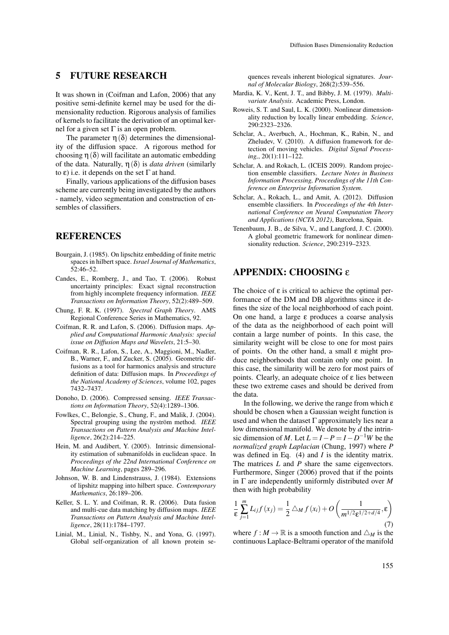# 5 FUTURE RESEARCH

It was shown in (Coifman and Lafon, 2006) that any positive semi-definite kernel may be used for the dimensionality reduction. Rigorous analysis of families of kernels to facilitate the derivation of an optimal kernel for a given set Γ is an open problem.

The parameter  $\eta(\delta)$  determines the dimensionality of the diffusion space. A rigorous method for choosing  $\eta(\delta)$  will facilitate an automatic embedding of the data. Naturally,  $\eta(\delta)$  is *data driven* (similarly to ε) i.e. it depends on the set  $Γ$  at hand.

Finally, various applications of the diffusion bases scheme are currently being investigated by the authors - namely, video segmentation and construction of ensembles of classifiers.

# **REFERENCES**

- Bourgain, J. (1985). On lipschitz embedding of finite metric spaces in hilbert space. *Israel Journal of Mathematics*, 52:46–52.
- Candes, E., Romberg, J., and Tao, T. (2006). Robust uncertainty principles: Exact signal reconstruction from highly incomplete frequency information. *IEEE Transactions on Information Theory*, 52(2):489–509.
- Chung, F. R. K. (1997). *Spectral Graph Theory*. AMS Regional Conference Series in Mathematics, 92.
- Coifman, R. R. and Lafon, S. (2006). Diffusion maps. *Applied and Computational Harmonic Analysis: special issue on Diffusion Maps and Wavelets*, 21:5–30.
- Coifman, R. R., Lafon, S., Lee, A., Maggioni, M., Nadler, B., Warner, F., and Zucker, S. (2005). Geometric diffusions as a tool for harmonics analysis and structure definition of data: Diffusion maps. In *Proceedings of the National Academy of Sciences*, volume 102, pages 7432–7437.
- Donoho, D. (2006). Compressed sensing. *IEEE Transactions on Information Theory*, 52(4):1289–1306.
- Fowlkes, C., Belongie, S., Chung, F., and Malik, J. (2004). Spectral grouping using the nyström method. IEEE *Transactions on Pattern Analysis and Machine Intelligence*, 26(2):214–225.
- Hein, M. and Audibert, Y. (2005). Intrinsic dimensionality estimation of submanifolds in euclidean space. In *Proceedings of the 22nd International Conference on Machine Learning*, pages 289–296.
- Johnson, W. B. and Lindenstrauss, J. (1984). Extensions of lipshitz mapping into hilbert space. *Contemporary Mathematics*, 26:189–206.
- Keller, S. L. Y. and Coifman, R. R. (2006). Data fusion and multi-cue data matching by diffusion maps. *IEEE Transactions on Pattern Analysis and Machine Intelligence*, 28(11):1784–1797.
- Linial, M., Linial, N., Tishby, N., and Yona, G. (1997). Global self-organization of all known protein se-

quences reveals inherent biological signatures. *Journal of Molecular Biology*, 268(2):539–556.

- Mardia, K. V., Kent, J. T., and Bibby, J. M. (1979). *Multivariate Analysis*. Academic Press, London.
- Roweis, S. T. and Saul, L. K. (2000). Nonlinear dimensionality reduction by locally linear embedding. *Science*, 290:2323–2326.
- Schclar, A., Averbuch, A., Hochman, K., Rabin, N., and Zheludev, V. (2010). A diffusion framework for detection of moving vehicles. *Digital Signal Processing,*, 20(1):111–122.
- Schclar, A. and Rokach, L. (ICEIS 2009). Random projection ensemble classifiers. *Lecture Notes in Business Information Processing, Proceedings of the 11th Conference on Enterprise Information System*.
- Schclar, A., Rokach, L., and Amit, A. (2012). Diffusion ensemble classifiers. In *Proceedings of the 4th International Conference on Neural Computation Theory and Applications (NCTA 2012)*, Barcelona, Spain.
- Tenenbaum, J. B., de Silva, V., and Langford, J. C. (2000). A global geometric framework for nonlinear dimensionality reduction. *Science*, 290:2319–2323.

## APPENDIX: CHOOSING ε

The choice of  $\varepsilon$  is critical to achieve the optimal performance of the DM and DB algorithms since it defines the size of the local neighborhood of each point. On one hand, a large ε produces a coarse analysis of the data as the neighborhood of each point will contain a large number of points. In this case, the similarity weight will be close to one for most pairs of points. On the other hand, a small  $\varepsilon$  might produce neighborhoods that contain only one point. In this case, the similarity will be zero for most pairs of points. Clearly, an adequate choice of  $ε$  lies between these two extreme cases and should be derived from the data.

In the following, we derive the range from which  $\varepsilon$ should be chosen when a Gaussian weight function is used and when the dataset  $\Gamma$  approximately lies near a low dimensional manifold. We denote by *d* the intrinsic dimension of *M*. Let  $L = I - P = I - D^{-1}W$  be the *normalized graph Laplacian* (Chung, 1997) where *P* was defined in Eq. (4) and *I* is the identity matrix. The matrices *L* and *P* share the same eigenvectors. Furthermore, Singer (2006) proved that if the points in Γ are independently uniformly distributed over *M* then with high probability

$$
\frac{1}{\varepsilon} \sum_{j=1}^{m} L_{ij} f(x_j) = \frac{1}{2} \bigtriangleup_M f(x_i) + O\left(\frac{1}{m^{1/2} \varepsilon^{1/2 + d/4}}, \varepsilon\right)
$$
(7)

where  $f : M \to \mathbb{R}$  is a smooth function and  $\triangle_M$  is the continuous Laplace-Beltrami operator of the manifold